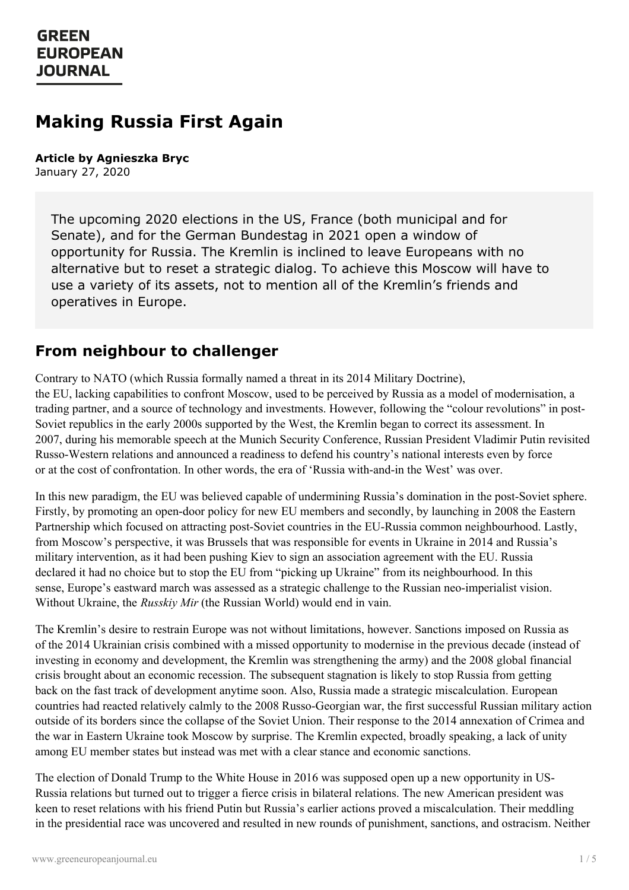# **Making Russia First Again**

**Article by Agnieszka Bryc** January 27, 2020

> The upcoming 2020 elections in the US, France (both municipal and for Senate), and for the German Bundestag in 2021 open a window of opportunity for Russia. The Kremlin is inclined to leave Europeans with no alternative but to reset a strategic dialog. To achieve this Moscow will have to use a variety of its assets, not to mention all of the Kremlin's friends and operatives in Europe.

#### **From neighbour to challenger**

Contrary to NATO (which Russia formally named a threat in its 2014 Military Doctrine), the EU, lacking capabilities to confront Moscow, used to be perceived by Russia as a model of modernisation, a trading partner, and a source of technology and investments. However, following the "colour revolutions" in post-Soviet republics in the early 2000s supported by the West, the Kremlin began to correct its assessment. In 2007, during his memorable speech at the Munich Security Conference, Russian President Vladimir Putin revisited Russo-Western relations and announced a readiness to defend his country's national interests even by force or at the cost of confrontation. In other words, the era of 'Russia with-and-in the West' was over.

In this new paradigm, the EU was believed capable of undermining Russia's domination in the post-Soviet sphere. Firstly, by promoting an open-door policy for new EU members and secondly, by launching in 2008 the Eastern Partnership which focused on attracting post-Soviet countries in the EU-Russia common neighbourhood. Lastly, from Moscow's perspective, it was Brussels that was responsible for events in Ukraine in 2014 and Russia's military intervention, as it had been pushing Kiev to sign an association agreement with the EU. Russia declared it had no choice but to stop the EU from "picking up Ukraine" from its neighbourhood. In this sense, Europe's eastward march was assessed as a strategic challenge to the Russian neo-imperialist vision. Without Ukraine, the *Russkiy Mir* (the Russian World) would end in vain.

The Kremlin's desire to restrain Europe was not without limitations, however. Sanctions imposed on Russia as of the 2014 Ukrainian crisis combined with a missed opportunity to modernise in the previous decade (instead of investing in economy and development, the Kremlin was strengthening the army) and the 2008 global financial crisis brought about an economic recession. The subsequent stagnation is likely to stop Russia from getting back on the fast track of development anytime soon. Also, Russia made a strategic miscalculation. European countries had reacted relatively calmly to the 2008 Russo-Georgian war, the first successful Russian military action outside of its borders since the collapse of the Soviet Union. Their response to the 2014 annexation of Crimea and the war in Eastern Ukraine took Moscow by surprise. The Kremlin expected, broadly speaking, a lack of unity among EU [member](https://www.greeneuropeanjournal.eu) states but instead was met with a clear stance and economic sanctions.

The election of Donald Trump to the White House in 2016 was supposed open up a new opportunity in US-Russia relations but turned out to trigger a fierce crisis in bilateral relations. The new American president was keen to reset relations with his friend Putin but Russia's earlier actions proved a miscalculation. Their meddling in the presidential race was uncovered and resulted in new rounds of punishment, sanctions, and ostracism. Neither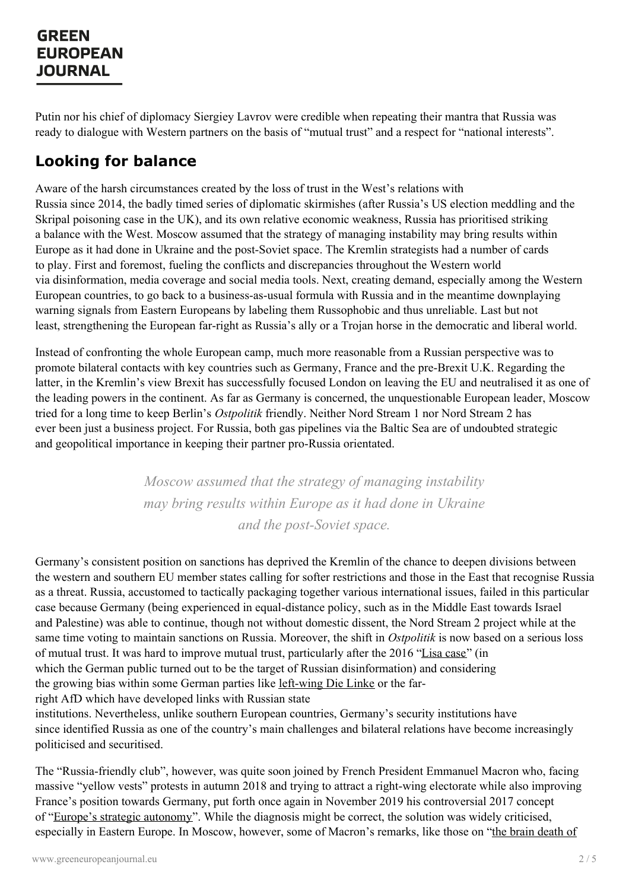Putin nor his chief of diplomacy Siergiey Lavrov were credible when repeating their mantra that Russia was ready to dialogue with Western partners on the basis of "mutual trust" and a respect for "national interests".

# **Looking for balance**

Aware of the harsh circumstances created by the loss of trust in the West's relations with Russia since 2014, the badly timed series of diplomatic skirmishes (after Russia's US election meddling and the Skripal poisoning case in the UK), and its own relative economic weakness, Russia has prioritised striking a balance with the West. Moscow assumed that the strategy of managing instability may bring results within Europe as it had done in Ukraine and the post-Soviet space. The Kremlin strategists had a number of cards to play. First and foremost, fueling the conflicts and discrepancies throughout the Western world via disinformation, media coverage and social media tools. Next, creating demand, especially among the Western European countries, to go back to a business-as-usual formula with Russia and in the meantime downplaying warning signals from Eastern Europeans by labeling them Russophobic and thus unreliable. Last but not least, strengthening the European far-right as Russia's ally or a Trojan horse in the democratic and liberal world.

Instead of confronting the whole European camp, much more reasonable from a Russian perspective was to promote bilateral contacts with key countries such as Germany, France and the pre-Brexit U.K. Regarding the latter, in the Kremlin's view Brexit has successfully focused London on leaving the EU and neutralised it as one of the leading powers in the continent. As far as Germany is concerned, the unquestionable European leader, Moscow tried for a long time to keep Berlin's *Ostpolitik* friendly. Neither Nord Stream 1 nor Nord Stream 2 has ever been just a business project. For Russia, both gas pipelines via the Baltic Sea are of undoubted strategic and geopolitical importance in keeping their partner pro-Russia orientated.

> *Moscow assumed that the strategy of managing instability may bring results within Europe as it had done in Ukraine and the post-Soviet space.*

Germany's consistent position on sanctions has deprived the Kremlin of the chance to deepen divisions between the western and southern EU member states calling for softer restrictions and those in the East that recognise Russia as a threat. Russia, accustomed to tactically packaging together various international issues, failed in this particular case because Germany (being experienced in equal-distance policy, such as in the Middle East towards Israel and Palestine) was able to continue, though not without domestic dissent, the Nord Stream 2 project while at the same time voting to maintain sanctions on Russia. Moreover, the shift in *Ostpolitik* is now based on a serious loss of mutual trust. It was hard to improve mutual trust, particularly after the 2016 ["Lisa](https://www.nato.int/docu/review/articles/2016/07/25/the-lisa-case-germany-as-a-target-of-russian-disinformation/index.html) case" (in which the German public turned out to be the target of Russian disinformation) and considering the growing bias within some German parties like [left-wing](https://www.opendemocracy.net/en/odr/don-t-ignore-left-connections-between-europe-s-radical-left-and-ru/) Die Linke or the farright AfD which have developed links with Russian state institutions. Nevertheless, unlike southern European countries, Germany's security institutions have since identified Russia as one of the country's main challenges and bilateral relations have become increasingly

[politicised](https://www.greeneuropeanjournal.eu) and securitised. The "Russia-friendly club", however, was quite soon joined by French President Emmanuel Macron who, facing massive "yellow vests" protests in autumn 2018 and trying to attract a right-wing electorate while also improving France's position towards Germany, put forth once again in November 2019 his controversial 2017 concept of "Europe's strategic [autonomy](https://www.ecfr.eu/specials/scorecard/independence_play_europes_pursuit_of_strategic_autonomy)". While the diagnosis might be correct, the solution was widely criticised,

especially in Eastern Europe. In Moscow, however, some of Macron's remarks, like those on "the brain death of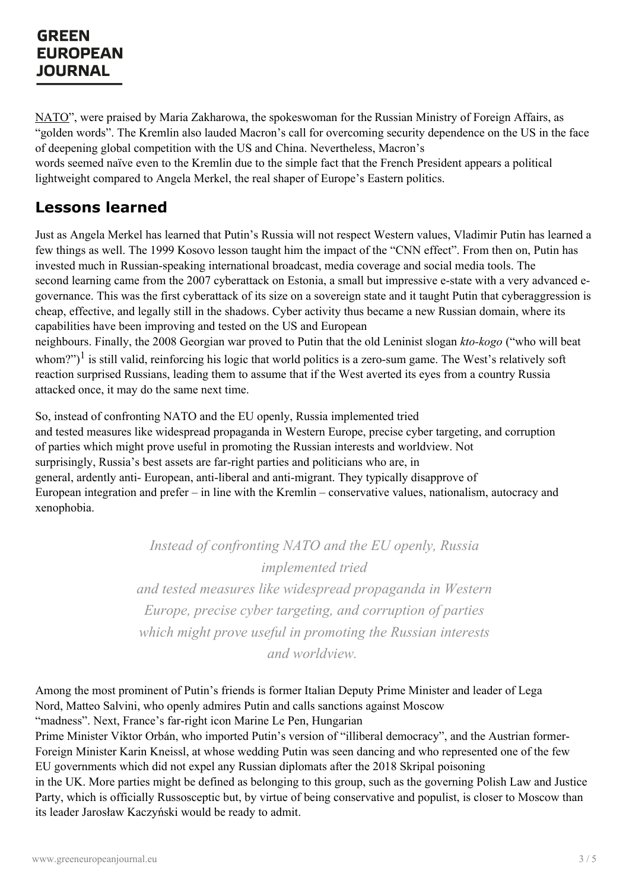NATO", were praised by Maria Zakharowa, the [spokeswoman](https://www.bbc.com/news/world-europe-50335257) for the Russian Ministry of Foreign Affairs, as "golden words". The Kremlin also lauded Macron's call for overcoming security dependence on the US in the face of deepening global competition with the US and China. Nevertheless, Macron's words seemed naïve even to the Kremlin due to the simple fact that the French President appears a political lightweight compared to Angela Merkel, the real shaper of Europe's Eastern politics.

## **Lessons learned**

Just as Angela Merkel has learned that Putin's Russia will not respect Western values, Vladimir Putin has learned a few things as well. The 1999 Kosovo lesson taught him the impact of the "CNN effect". From then on, Putin has invested much in Russian-speaking international broadcast, media coverage and social media tools. The second learning came from the 2007 cyberattack on Estonia, a small but impressive e-state with a very advanced egovernance. This was the first cyberattack of its size on a sovereign state and it taught Putin that cyberaggression is cheap, effective, and legally still in the shadows. Cyber activity thus became a new Russian domain, where its capabilities have been improving and tested on the US and European

neighbours. Finally, the 2008 Georgian war proved to Putin that the old Leninist slogan *kto-kogo* ("who will beat whom?")<sup>1</sup> is still valid, reinforcing his logic that world politics is a zero-sum game. The West's relatively soft reaction surprised Russians, leading them to assume that if the West averted its eyes from a country Russia attacked once, it may do the same next time.

So, instead of confronting NATO and the EU openly, Russia implemented tried and tested measures like widespread propaganda in Western Europe, precise cyber targeting, and corruption of parties which might prove useful in promoting the Russian interests and worldview. Not surprisingly, Russia's best assets are far-right parties and politicians who are, in general, ardently anti- European, anti-liberal and anti-migrant. They typically disapprove of European integration and prefer – in line with the Kremlin – conservative values, nationalism, autocracy and xenophobia.

> *Instead of confronting NATO and the EU openly, Russia implemented tried and tested measures like widespread propaganda in Western Europe, precise cyber targeting, and corruption of parties which might prove useful in promoting the Russian interests and worldview.*

Among the most prominent of Putin's friends is former Italian Deputy Prime Minister and leader of Lega Nord, Matteo Salvini, who openly admires Putin and calls sanctions against Moscow "madness". Next, France's far-right icon Marine Le Pen, Hungarian

Prime Minister Viktor Orbán, who imported Putin's version of "illiberal democracy", and the Austrian former-Foreign [Minister](https://www.greeneuropeanjournal.eu) Karin Kneissl, at whose wedding Putin was seen dancing and who represented one of the few EU governments which did not expel any Russian diplomats after the 2018 Skripal poisoning in the UK. More parties might be defined as belonging to this group, such as the governing Polish Law and Justice Party, which is officially Russosceptic but, by virtue of being conservative and populist, is closer to Moscow than its leader Jarosław Kaczyński would be ready to admit.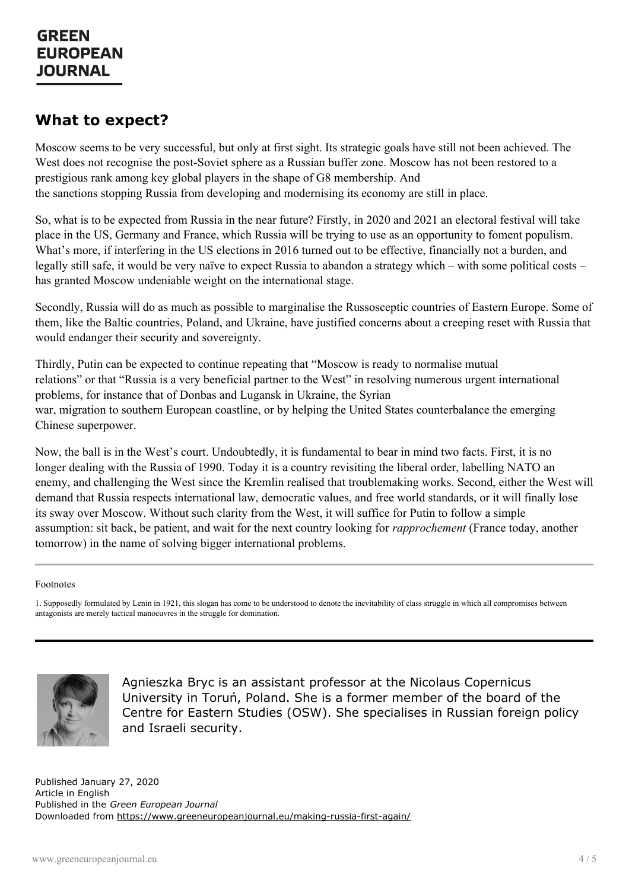#### **What to expect?**

Moscow seems to be very successful, but only at first sight. Its strategic goals have still not been achieved. The West does not recognise the post-Soviet sphere as a Russian buffer zone. Moscow has not been restored to a prestigious rank among key global players in the shape of G8 membership. And the sanctions stopping Russia from developing and modernising its economy are still in place.

So, what is to be expected from Russia in the near future? Firstly, in 2020 and 2021 an electoral festival will take place in the US, Germany and France, which Russia will be trying to use as an opportunity to foment populism. What's more, if interfering in the US elections in 2016 turned out to be effective, financially not a burden, and legally still safe, it would be very naïve to expect Russia to abandon a strategy which – with some political costs – has granted Moscow undeniable weight on the international stage.

Secondly, Russia will do as much as possible to marginalise the Russosceptic countries of Eastern Europe. Some of them, like the Baltic countries, Poland, and Ukraine, have justified concerns about a creeping reset with Russia that would endanger their security and sovereignty.

Thirdly, Putin can be expected to continue repeating that "Moscow is ready to normalise mutual relations" or that "Russia is a very beneficial partner to the West" in resolving numerous urgent international problems, for instance that of Donbas and Lugansk in Ukraine, the Syrian war, migration to southern European coastline, or by helping the United States counterbalance the emerging Chinese superpower.

Now, the ball is in the West's court. Undoubtedly, it is fundamental to bear in mind two facts. First, it is no longer dealing with the Russia of 1990. Today it is a country revisiting the liberal order, labelling NATO an enemy, and challenging the West since the Kremlin realised that troublemaking works. Second, either the West will demand that Russia respects international law, democratic values, and free world standards, or it will finally lose its sway over Moscow. Without such clarity from the West, it will suffice for Putin to follow a simple assumption: sit back, be patient, and wait for the next country looking for *rapprochement* (France today, another tomorrow) in the name of solving bigger international problems.

#### Footnotes

1. Supposedly formulated by Lenin in 1921, this slogan has come to be understood to denote the inevitability of class struggle in which all compromises between antagonists are merely tactical manoeuvres in the struggle for domination.



Agnieszka Bryc is an assistant professor at the Nicolaus Copernicus University in Toruń, Poland. She is a former member of the board of the Centre for Eastern Studies (OSW). She specialises in Russian foreign policy and Israeli security.

Published January 27, 2020 Article in English Published in the *Green European Journal* Downloaded from <https://www.greeneuropeanjournal.eu/making-russia-first-again/>